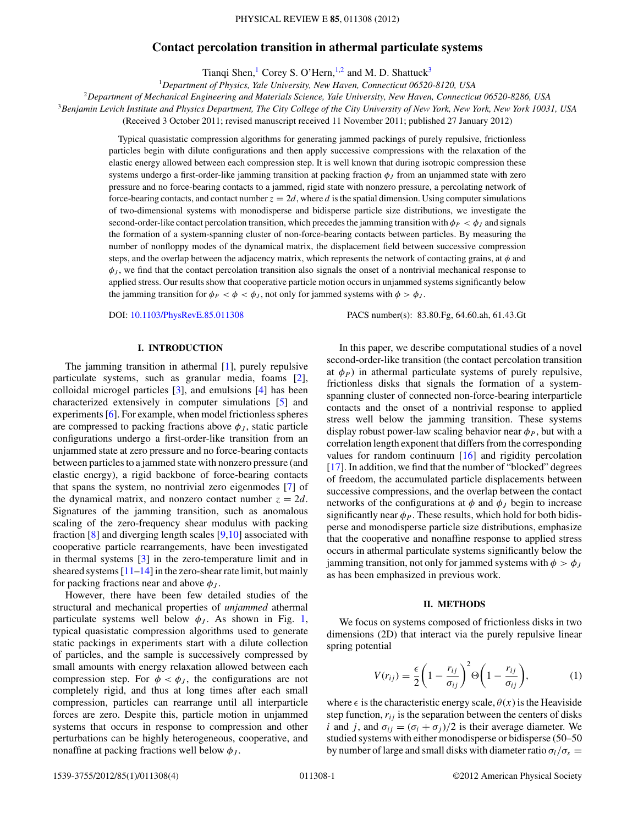# **Contact percolation transition in athermal particulate systems**

Tianqi Shen, Corey S. O'Hern,  $1,2$  and M. D. Shattuck<sup>3</sup>

<sup>1</sup>*Department of Physics, Yale University, New Haven, Connecticut 06520-8120, USA*

<sup>2</sup>*Department of Mechanical Engineering and Materials Science, Yale University, New Haven, Connecticut 06520-8286, USA*

<sup>3</sup>*Benjamin Levich Institute and Physics Department, The City College of the City University of New York, New York, New York 10031, USA*

(Received 3 October 2011; revised manuscript received 11 November 2011; published 27 January 2012)

Typical quasistatic compression algorithms for generating jammed packings of purely repulsive, frictionless particles begin with dilute configurations and then apply successive compressions with the relaxation of the elastic energy allowed between each compression step. It is well known that during isotropic compression these systems undergo a first-order-like jamming transition at packing fraction  $\phi_J$  from an unjammed state with zero pressure and no force-bearing contacts to a jammed, rigid state with nonzero pressure, a percolating network of force-bearing contacts, and contact number  $z = 2d$ , where d is the spatial dimension. Using computer simulations of two-dimensional systems with monodisperse and bidisperse particle size distributions, we investigate the second-order-like contact percolation transition, which precedes the jamming transition with  $\phi_P < \phi_J$  and signals the formation of a system-spanning cluster of non-force-bearing contacts between particles. By measuring the number of nonfloppy modes of the dynamical matrix, the displacement field between successive compression steps, and the overlap between the adjacency matrix, which represents the network of contacting grains, at  $\phi$  and  $\phi_J$ , we find that the contact percolation transition also signals the onset of a nontrivial mechanical response to applied stress. Our results show that cooperative particle motion occurs in unjammed systems significantly below the jamming transition for  $\phi_P < \phi < \phi_J$ , not only for jammed systems with  $\phi > \phi_J$ .

DOI: 10.1103/PhysRevE.85.011308 PACS number(s): 83.80.Fg, 64.60.ah, 61.43.Gt

## **I. INTRODUCTION**

The jamming transition in athermal [1], purely repulsive particulate systems, such as granular media, foams [2], colloidal microgel particles [3], and emulsions [4] has been characterized extensively in computer simulations [5] and experiments [6]. For example, when model frictionless spheres are compressed to packing fractions above  $\phi_J$ , static particle configurations undergo a first-order-like transition from an unjammed state at zero pressure and no force-bearing contacts between particles to a jammed state with nonzero pressure (and elastic energy), a rigid backbone of force-bearing contacts that spans the system, no nontrivial zero eigenmodes [7] of the dynamical matrix, and nonzero contact number  $z = 2d$ . Signatures of the jamming transition, such as anomalous scaling of the zero-frequency shear modulus with packing fraction [8] and diverging length scales [9,10] associated with cooperative particle rearrangements, have been investigated in thermal systems [3] in the zero-temperature limit and in sheared systems  $[11-14]$  in the zero-shear rate limit, but mainly for packing fractions near and above  $\phi_I$ .

However, there have been few detailed studies of the structural and mechanical properties of *unjammed* athermal particulate systems well below  $\phi_J$ . As shown in Fig. 1, typical quasistatic compression algorithms used to generate static packings in experiments start with a dilute collection of particles, and the sample is successively compressed by small amounts with energy relaxation allowed between each compression step. For  $\phi < \phi_J$ , the configurations are not completely rigid, and thus at long times after each small compression, particles can rearrange until all interparticle forces are zero. Despite this, particle motion in unjammed systems that occurs in response to compression and other perturbations can be highly heterogeneous, cooperative, and nonaffine at packing fractions well below  $\phi_J$ .

In this paper, we describe computational studies of a novel second-order-like transition (the contact percolation transition at  $\phi_P$ ) in athermal particulate systems of purely repulsive, frictionless disks that signals the formation of a systemspanning cluster of connected non-force-bearing interparticle contacts and the onset of a nontrivial response to applied stress well below the jamming transition. These systems display robust power-law scaling behavior near  $\phi_P$ , but with a correlation length exponent that differs from the corresponding values for random continuum [16] and rigidity percolation [17]. In addition, we find that the number of "blocked" degrees of freedom, the accumulated particle displacements between successive compressions, and the overlap between the contact networks of the configurations at  $\phi$  and  $\phi$ <sub>J</sub> begin to increase significantly near  $\phi_P$ . These results, which hold for both bidisperse and monodisperse particle size distributions, emphasize that the cooperative and nonaffine response to applied stress occurs in athermal particulate systems significantly below the jamming transition, not only for jammed systems with  $\phi > \phi_J$ as has been emphasized in previous work.

#### **II. METHODS**

We focus on systems composed of frictionless disks in two dimensions (2D) that interact via the purely repulsive linear spring potential

$$
V(r_{ij}) = \frac{\epsilon}{2} \left( 1 - \frac{r_{ij}}{\sigma_{ij}} \right)^2 \Theta \left( 1 - \frac{r_{ij}}{\sigma_{ij}} \right),\tag{1}
$$

where  $\epsilon$  is the characteristic energy scale,  $\theta(x)$  is the Heaviside step function,  $r_{ij}$  is the separation between the centers of disks i and j, and  $\sigma_{ij} = (\sigma_i + \sigma_j)/2$  is their average diameter. We studied systems with either monodisperse or bidisperse (50–50 by number of large and small disks with diameter ratio  $\sigma_l/\sigma_s =$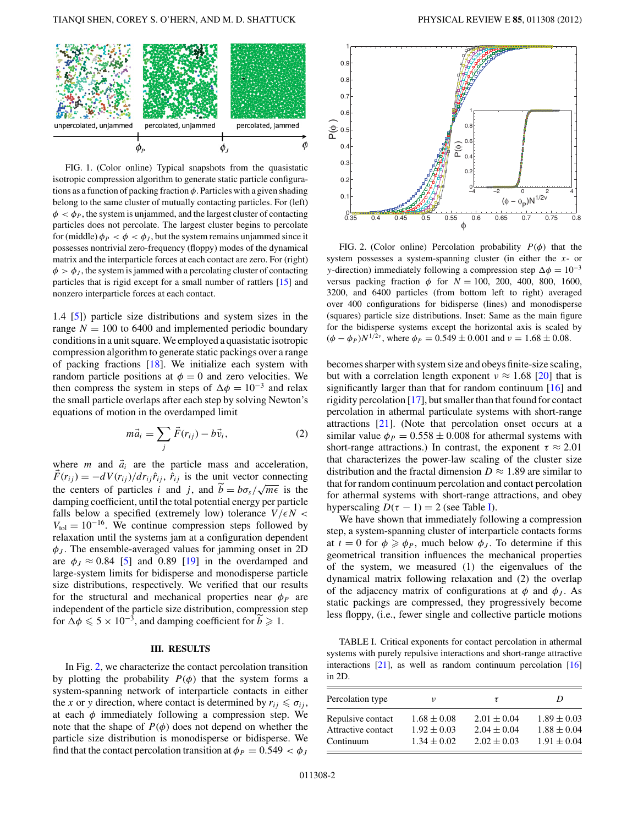

FIG. 1. (Color online) Typical snapshots from the quasistatic isotropic compression algorithm to generate static particle configurations as a function of packing fraction  $\phi$ . Particles with a given shading belong to the same cluster of mutually contacting particles. For (left)  $\phi < \phi_P$ , the system is unjammed, and the largest cluster of contacting particles does not percolate. The largest cluster begins to percolate for (middle)  $\phi_P < \phi < \phi_J$ , but the system remains unjammed since it possesses nontrivial zero-frequency (floppy) modes of the dynamical matrix and the interparticle forces at each contact are zero. For (right)  $\phi > \phi_J$ , the system is jammed with a percolating cluster of contacting particles that is rigid except for a small number of rattlers [15] and nonzero interparticle forces at each contact.

1.4 [5]) particle size distributions and system sizes in the range  $N = 100$  to 6400 and implemented periodic boundary conditions in a unit square.We employed a quasistatic isotropic compression algorithm to generate static packings over a range of packing fractions [18]. We initialize each system with random particle positions at  $\phi = 0$  and zero velocities. We then compress the system in steps of  $\Delta \phi = 10^{-3}$  and relax the small particle overlaps after each step by solving Newton's equations of motion in the overdamped limit

$$
m\vec{a}_i = \sum_j \vec{F}(r_{ij}) - b\vec{v}_i, \qquad (2)
$$

where *m* and  $\vec{a}_i$  are the particle mass and acceleration,  $F(r_{ij}) = -dV(r_{ij})/dr_{ij}\hat{r}_{ij}$ ,  $\hat{r}_{ij}$  is the unit vector connecting the centers of particles i and j, and  $\tilde{b} = b\sigma_s/\sqrt{m\epsilon}$  is the damping coefficient, until the total potential energy per particle falls below a specified (extremely low) tolerance  $V/\epsilon N <$  $V_{\text{tol}} = 10^{-16}$ . We continue compression steps followed by relaxation until the systems jam at a configuration dependent  $\phi_J$ . The ensemble-averaged values for jamming onset in 2D are  $\phi_J \approx 0.84$  [5] and 0.89 [19] in the overdamped and large-system limits for bidisperse and monodisperse particle size distributions, respectively. We verified that our results for the structural and mechanical properties near  $\phi_P$  are independent of the particle size distribution, compression step for  $\Delta \phi \leqslant 5 \times 10^{-3}$ , and damping coefficient for  $\widetilde{b} \geqslant 1$ .

### **III. RESULTS**

In Fig. 2, we characterize the contact percolation transition by plotting the probability  $P(\phi)$  that the system forms a system-spanning network of interparticle contacts in either the x or y direction, where contact is determined by  $r_{ii} \leq \sigma_{ii}$ , at each  $\phi$  immediately following a compression step. We note that the shape of  $P(\phi)$  does not depend on whether the particle size distribution is monodisperse or bidisperse. We find that the contact percolation transition at  $\phi_P = 0.549 < \phi_J$ 



FIG. 2. (Color online) Percolation probability  $P(\phi)$  that the system possesses a system-spanning cluster (in either the  $x$ - or y-direction) immediately following a compression step  $\Delta \phi = 10^{-3}$ versus packing fraction  $\phi$  for  $N = 100$ , 200, 400, 800, 1600, 3200, and 6400 particles (from bottom left to right) averaged over 400 configurations for bidisperse (lines) and monodisperse (squares) particle size distributions. Inset: Same as the main figure for the bidisperse systems except the horizontal axis is scaled by  $(\phi - \phi_P) N^{1/2\nu}$ , where  $\phi_P = 0.549 \pm 0.001$  and  $\nu = 1.68 \pm 0.08$ .

becomes sharper with system size and obeys finite-size scaling, but with a correlation length exponent  $v \approx 1.68$  [20] that is significantly larger than that for random continuum [16] and rigidity percolation [17], but smaller than that found for contact percolation in athermal particulate systems with short-range attractions [21]. (Note that percolation onset occurs at a similar value  $\phi_P = 0.558 \pm 0.008$  for athermal systems with short-range attractions.) In contrast, the exponent  $\tau \approx 2.01$ that characterizes the power-law scaling of the cluster size distribution and the fractal dimension  $D \approx 1.89$  are similar to that for random continuum percolation and contact percolation for athermal systems with short-range attractions, and obey hyperscaling  $D(\tau - 1) = 2$  (see Table I).

We have shown that immediately following a compression step, a system-spanning cluster of interparticle contacts forms at  $t = 0$  for  $\phi \ge \phi_P$ , much below  $\phi_J$ . To determine if this geometrical transition influences the mechanical properties of the system, we measured (1) the eigenvalues of the dynamical matrix following relaxation and (2) the overlap of the adjacency matrix of configurations at  $\phi$  and  $\phi_J$ . As static packings are compressed, they progressively become less floppy, (i.e., fewer single and collective particle motions

TABLE I. Critical exponents for contact percolation in athermal systems with purely repulsive interactions and short-range attractive interactions  $[21]$ , as well as random continuum percolation  $[16]$ in 2D.

| Percolation type   | ν               | τ               | D               |
|--------------------|-----------------|-----------------|-----------------|
| Repulsive contact  | $1.68 \pm 0.08$ | $2.01 \pm 0.04$ | $1.89 \pm 0.03$ |
| Attractive contact | $1.92 \pm 0.03$ | $2.04 \pm 0.04$ | $1.88 \pm 0.04$ |
| Continuum          | $1.34 \pm 0.02$ | $2.02 \pm 0.03$ | $1.91 \pm 0.04$ |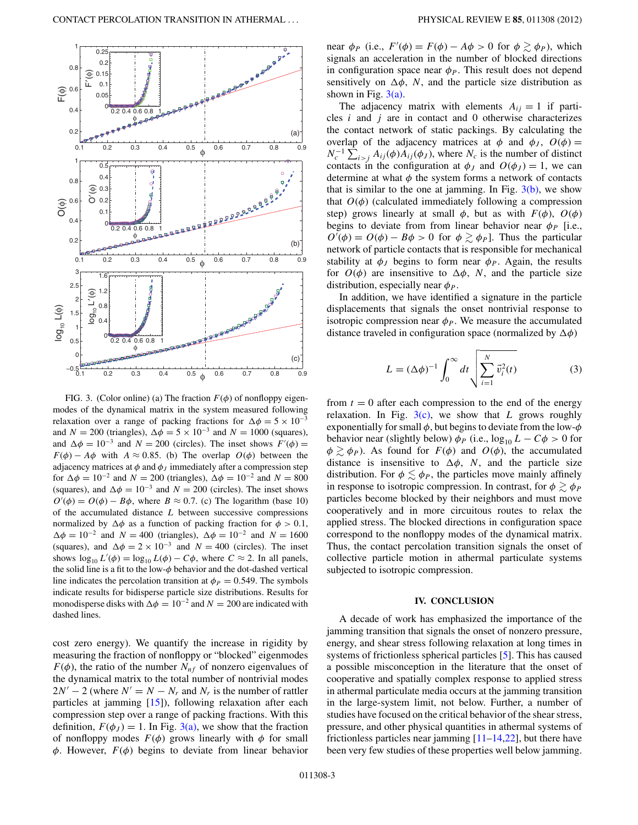

FIG. 3. (Color online) (a) The fraction  $F(\phi)$  of nonfloppy eigenmodes of the dynamical matrix in the system measured following relaxation over a range of packing fractions for  $\Delta \phi = 5 \times 10^{-3}$ and  $N = 200$  (triangles),  $\Delta \phi = 5 \times 10^{-3}$  and  $N = 1000$  (squares), and  $\Delta \phi = 10^{-3}$  and  $N = 200$  (circles). The inset shows  $F'(\phi) =$  $F(\phi) - A\phi$  with  $A \approx 0.85$ . (b) The overlap  $O(\phi)$  between the adjacency matrices at  $\phi$  and  $\phi$ *j* immediately after a compression step for  $\Delta \phi = 10^{-2}$  and  $N = 200$  (triangles),  $\Delta \phi = 10^{-2}$  and  $N = 800$ (squares), and  $\Delta \phi = 10^{-3}$  and  $N = 200$  (circles). The inset shows  $O'(\phi) = O(\phi) - B\phi$ , where  $B \approx 0.7$ . (c) The logarithm (base 10) of the accumulated distance  $L$  between successive compressions normalized by  $\Delta \phi$  as a function of packing fraction for  $\phi > 0.1$ ,  $\Delta \phi = 10^{-2}$  and  $N = 400$  (triangles),  $\Delta \phi = 10^{-2}$  and  $N = 1600$ (squares), and  $\Delta \phi = 2 \times 10^{-3}$  and  $N = 400$  (circles). The inset shows  $\log_{10} L'(\phi) = \log_{10} L(\phi) - C\phi$ , where  $C \approx 2$ . In all panels, the solid line is a fit to the low- $\phi$  behavior and the dot-dashed vertical line indicates the percolation transition at  $\phi_P = 0.549$ . The symbols indicate results for bidisperse particle size distributions. Results for monodisperse disks with  $\Delta \phi = 10^{-2}$  and  $N = 200$  are indicated with dashed lines.

cost zero energy). We quantify the increase in rigidity by measuring the fraction of nonfloppy or "blocked" eigenmodes  $F(\phi)$ , the ratio of the number  $N_{n}$  of nonzero eigenvalues of the dynamical matrix to the total number of nontrivial modes  $2N' - 2$  (where  $N' = N - N_r$  and  $N_r$  is the number of rattler particles at jamming [15]), following relaxation after each compression step over a range of packing fractions. With this definition,  $F(\phi_J) = 1$ . In Fig. 3(a), we show that the fraction of nonfloppy modes  $F(\phi)$  grows linearly with  $\phi$  for small  $\phi$ . However,  $F(\phi)$  begins to deviate from linear behavior

near  $\phi_P$  (i.e.,  $F'(\phi) = F(\phi) - A\phi > 0$  for  $\phi \gtrsim \phi_P$ ), which signals an acceleration in the number of blocked directions in configuration space near  $\phi_P$ . This result does not depend sensitively on  $\Delta \phi$ , N, and the particle size distribution as shown in Fig.  $3(a)$ .

The adjacency matrix with elements  $A_{ij} = 1$  if particles  $i$  and  $j$  are in contact and 0 otherwise characterizes the contact network of static packings. By calculating the overlap of the adjacency matrices at  $\phi$  and  $\phi_j$ ,  $O(\phi)$  =  $N_c^{-1} \sum_{i>j} A_{ij}(\phi) A_{ij}(\phi_j)$ , where  $N_c$  is the number of distinct contacts in the configuration at  $\phi_J$  and  $O(\phi_J) = 1$ , we can determine at what  $\phi$  the system forms a network of contacts that is similar to the one at jamming. In Fig.  $3(b)$ , we show that  $O(\phi)$  (calculated immediately following a compression step) grows linearly at small  $\phi$ , but as with  $F(\phi)$ ,  $O(\phi)$ begins to deviate from from linear behavior near  $\phi_P$  [i.e.,  $O'(\phi) = O(\phi) - B\phi > 0$  for  $\phi \gtrsim \phi_P$ . Thus the particular network of particle contacts that is responsible for mechanical stability at  $\phi_J$  begins to form near  $\phi_P$ . Again, the results for  $O(\phi)$  are insensitive to  $\Delta \phi$ , N, and the particle size distribution, especially near  $\phi_P$ .

In addition, we have identified a signature in the particle displacements that signals the onset nontrivial response to isotropic compression near  $\phi_P$ . We measure the accumulated distance traveled in configuration space (normalized by  $\Delta \phi$ )

$$
L = (\Delta \phi)^{-1} \int_0^\infty dt \sqrt{\sum_{i=1}^N \vec{v}_i^2(t)}
$$
 (3)

from  $t = 0$  after each compression to the end of the energy relaxation. In Fig.  $3(c)$ , we show that L grows roughly exponentially for small  $\phi$ , but begins to deviate from the low- $\phi$ behavior near (slightly below)  $\phi_P$  (i.e.,  $\log_{10} L - C\phi > 0$  for  $\phi \gtrsim \phi_P$ ). As found for  $F(\phi)$  and  $O(\phi)$ , the accumulated distance is insensitive to  $\Delta \phi$ , N, and the particle size distribution. For  $\phi \lesssim \phi_P$ , the particles move mainly affinely in response to isotropic compression. In contrast, for  $\phi \gtrsim \phi_P$ particles become blocked by their neighbors and must move cooperatively and in more circuitous routes to relax the applied stress. The blocked directions in configuration space correspond to the nonfloppy modes of the dynamical matrix. Thus, the contact percolation transition signals the onset of collective particle motion in athermal particulate systems subjected to isotropic compression.

#### **IV. CONCLUSION**

A decade of work has emphasized the importance of the jamming transition that signals the onset of nonzero pressure, energy, and shear stress following relaxation at long times in systems of frictionless spherical particles [5]. This has caused a possible misconception in the literature that the onset of cooperative and spatially complex response to applied stress in athermal particulate media occurs at the jamming transition in the large-system limit, not below. Further, a number of studies have focused on the critical behavior of the shear stress, pressure, and other physical quantities in athermal systems of frictionless particles near jamming  $[11–14,22]$ , but there have been very few studies of these properties well below jamming.